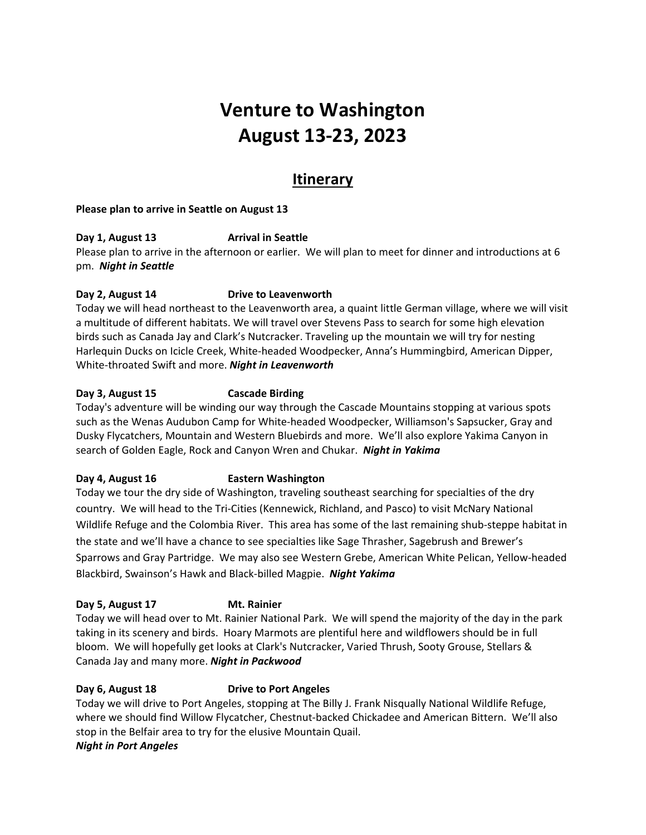# **Venture to Washington August 13-23, 2023**

## **Itinerary**

#### **Please plan to arrive in Seattle on August 13**

#### **Day 1, August 13 Arrival in Seattle**

Please plan to arrive in the afternoon or earlier. We will plan to meet for dinner and introductions at 6 pm. *Night in Seattle*

#### **Day 2, August 14 Drive to Leavenworth**

Today we will head northeast to the Leavenworth area, a quaint little German village, where we will visit a multitude of different habitats. We will travel over Stevens Pass to search for some high elevation birds such as Canada Jay and Clark's Nutcracker. Traveling up the mountain we will try for nesting Harlequin Ducks on Icicle Creek, White-headed Woodpecker, Anna's Hummingbird, American Dipper, White-throated Swift and more. *Night in Leavenworth*

#### **Day 3, August 15 Cascade Birding**

Today's adventure will be winding our way through the Cascade Mountains stopping at various spots such as the Wenas Audubon Camp for White-headed Woodpecker, Williamson's Sapsucker, Gray and Dusky Flycatchers, Mountain and Western Bluebirds and more. We'll also explore Yakima Canyon in search of Golden Eagle, Rock and Canyon Wren and Chukar. *Night in Yakima*

#### **Day 4, August 16 Eastern Washington**

Today we tour the dry side of Washington, traveling southeast searching for specialties of the dry country. We will head to the Tri-Cities (Kennewick, Richland, and Pasco) to visit McNary National Wildlife Refuge and the Colombia River. This area has some of the last remaining shub-steppe habitat in the state and we'll have a chance to see specialties like Sage Thrasher, Sagebrush and Brewer's Sparrows and Gray Partridge. We may also see Western Grebe, American White Pelican, Yellow-headed Blackbird, Swainson's Hawk and Black-billed Magpie. *Night Yakima*

#### **Day 5, August 17 Mt. Rainier**

Today we will head over to Mt. Rainier National Park. We will spend the majority of the day in the park taking in its scenery and birds. Hoary Marmots are plentiful here and wildflowers should be in full bloom. We will hopefully get looks at Clark's Nutcracker, Varied Thrush, Sooty Grouse, Stellars & Canada Jay and many more. *Night in Packwood*

#### **Day 6, August 18 Drive to Port Angeles**

Today we will drive to Port Angeles, stopping at The Billy J. Frank Nisqually National Wildlife Refuge, where we should find Willow Flycatcher, Chestnut-backed Chickadee and American Bittern. We'll also stop in the Belfair area to try for the elusive Mountain Quail.

#### *Night in Port Angeles*